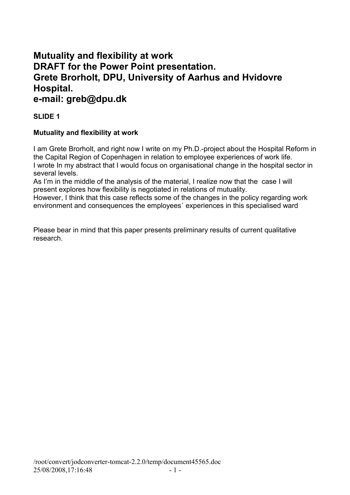# **Mutuality and flexibility at work DRAFT for the Power Point presentation. Grete Brorholt, DPU, University of Aarhus and Hvidovre Hospital.**

# **e-mail: greb@dpu.dk**

# **SLIDE 1**

# **Mutuality and flexibility at work**

I am Grete Brorholt, and right now I write on my Ph.D.-project about the Hospital Reform in the Capital Region of Copenhagen in relation to employee experiences of work life. I wrote In my abstract that I would focus on organisational change in the hospital sector in several levels.

As I'm in the middle of the analysis of the material, I realize now that the case I will present explores how flexibility is negotiated in relations of mutuality.

However, I think that this case reflects some of the changes in the policy regarding work environment and consequences the employees´ experiences in this specialised ward

Please bear in mind that this paper presents preliminary results of current qualitative research.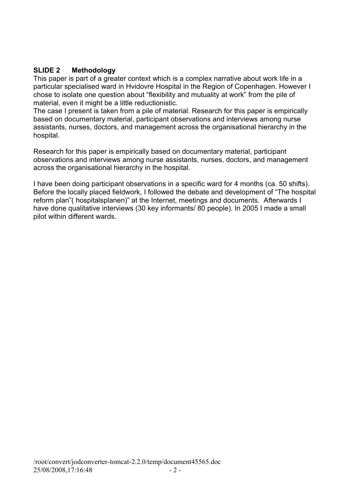#### **SLIDE 2 Methodology**

This paper is part of a greater context which is a complex narrative about work life in a particular specialised ward in Hvidovre Hospital in the Region of Copenhagen. However I chose to isolate one question about "flexibility and mutuality at work" from the pile of material, even it might be a little reductionistic.

The case I present is taken from a pile of material. Research for this paper is empirically based on documentary material, participant observations and interviews among nurse assistants, nurses, doctors, and management across the organisational hierarchy in the hospital.

Research for this paper is empirically based on documentary material, participant observations and interviews among nurse assistants, nurses, doctors, and management across the organisational hierarchy in the hospital.

I have been doing participant observations in a specific ward for 4 months (ca. 50 shifts). Before the locally placed fieldwork, I followed the debate and development of "The hospital reform plan"( hospitalsplanen)" at the Internet, meetings and documents. Afterwards I have done qualitative interviews (30 key informants/ 80 people). In 2005 I made a small pilot within different wards.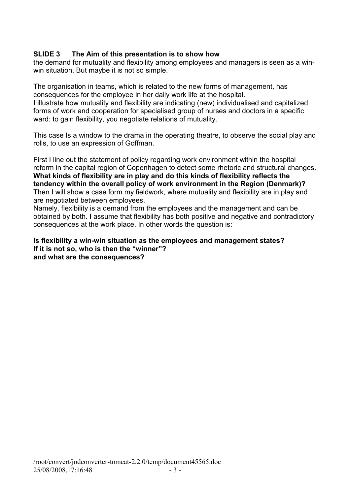#### **SLIDE 3 The Aim of this presentation is to show how**

the demand for mutuality and flexibility among employees and managers is seen as a winwin situation. But maybe it is not so simple.

The organisation in teams, which is related to the new forms of management, has consequences for the employee in her daily work life at the hospital.

I illustrate how mutuality and flexibility are indicating (new) individualised and capitalized forms of work and cooperation for specialised group of nurses and doctors in a specific ward: to gain flexibility, you negotiate relations of mutuality.

This case Is a window to the drama in the operating theatre, to observe the social play and rolls, to use an expression of Goffman.

First I line out the statement of policy regarding work environment within the hospital reform in the capital region of Copenhagen to detect some rhetoric and structural changes. **What kinds of flexibility are in play and do this kinds of flexibility reflects the tendency within the overall policy of work environment in the Region (Denmark)?** Then I will show a case form my fieldwork, where mutuality and flexibility are in play and are negotiated between employees.

Namely, flexibility is a demand from the employees and the management and can be obtained by both. I assume that flexibility has both positive and negative and contradictory consequences at the work place. In other words the question is:

#### **Is flexibility a win-win situation as the employees and management states? If it is not so, who is then the "winner"? and what are the consequences?**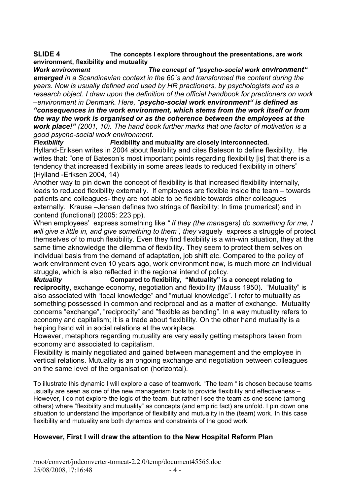#### **SLIDE 4 The concepts I explore throughout the presentations, are work environment, flexibility and mutuality**

*Work environment The concept of "psycho-social work environment" emerged in a Scandinavian context in the 60´s and transformed the content during the years. Now is usually defined and used by HR practioners, by psychologists and as a research object. I draw upon the definition of the official handbook for practioners on work –environment in Denmark. Here, "psycho-social work environment" is defined as*

*"consequences in the work environment, which stems from the work itself or from the way the work is organised or as the coherence between the employees at the work place!" (2001, 10). The hand book further marks that one factor of motivation is a good psycho-social work environment.*

*Flexibility F***lexibility and mutuality are closely interconnected.** Hylland-Eriksen writes in 2004 about flexibility and cites Bateson to define flexibility. He writes that: "one of Bateson's most important points regarding flexibility [is] that there is a tendency that increased flexibility in some areas leads to reduced flexibility in others" (Hylland -Eriksen 2004, 14)

Another way to pin down the concept of flexibility is that increased flexibility internally, leads to reduced flexibility externally. If employees are flexible inside the team – towards patients and colleagues- they are not able to be flexible towards other colleagues externally. Krause –Jensen defines two strings of flexibility: In time (numerical) and in contend (functional) (2005: 223 pp).

When employees' express something like *" If they (the managers) do something for me, I* will give a little in, and give something to them", they vaguely express a struggle of protect themselves of to much flexibility. Even they find flexibility is a win-win situation, they at the same time aknowledge the dilemma of flexibility. They seem to protect them selves on individual basis from the demand of adaptation, job shift etc. Compared to the policy of work environment even 10 years ago, work environment now, is much more an individual struggle, which is also reflected in the regional intend of policy.

*Mutuality* **Compared to flexibility, "Mutuality" is a concept relating to reciprocity,** exchange economy, negotiation and flexibility (Mauss 1950). "Mutuality" is also associated with "local knowledge" and "mutual knowledge". I refer to mutuality as something possessed in common and reciprocal and as a matter of exchange. Mutuality concerns "exchange", "reciprocity" and "flexible as bending". In a way mutuality refers to economy and capitalism; it is a trade about flexibility. On the other hand mutuality is a helping hand wit in social relations at the workplace.

However, metaphors regarding mutuality are very easily getting metaphors taken from economy and associated to capitalism.

Flexibility is mainly negotiated and gained between management and the employee in vertical relations. Mutuality is an ongoing exchange and negotiation between colleagues on the same level of the organisation (horizontal).

To illustrate this dynamic I will explore a case of teamwork. "The team " is chosen because teams usually are seen as one of the new managerism tools to provide flexibility and effectiveness – However, I do not explore the logic of the team, but rather I see the team as one scene (among others) where "flexibility and mutuality" as concepts (and empiric fact) are unfold. I pin down one situation to understand the importance of flexibility and mutuality in the (team) work. In this case flexibility and mutuality are both dynamos and constraints of the good work.

# **However, First I will draw the attention to the New Hospital Reform Plan**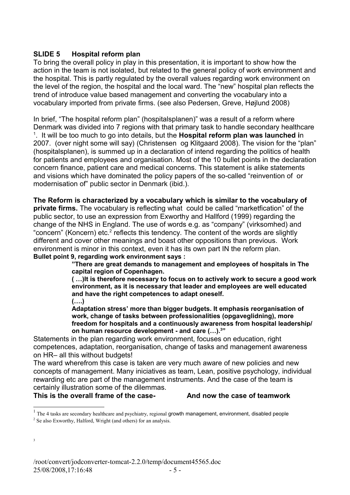#### **SLIDE 5 Hospital reform plan**

To bring the overall policy in play in this presentation, it is important to show how the action in the team is not isolated, but related to the general policy of work environment and the hospital. This is partly regulated by the overall values regarding work environment on the level of the region, the hospital and the local ward. The "new" hospital plan reflects the trend of introduce value based management and converting the vocabulary into a vocabulary imported from private firms. (see also Pedersen, Greve, Højlund 2008)

In brief, "The hospital reform plan" (hospitalsplanen)" was a result of a reform where Denmark was divided into 7 regions with that primary task to handle secondary healthcare [1](#page-4-0) . It will be too much to go into details, but the **Hospital reform plan was launched i**n 2007. (over night some will say) (Christensen og Klitgaard 2008). The vision for the "plan" (hospitalsplanen), is summed up in a declaration of intend regarding the politics of health for patients and employees and organisation. Most of the 10 bullet points in the declaration concern finance, patient care and medical concerns. This statement is alike statements and visions which have dominated the policy papers of the so-called "reinvention of or modernisation of" public sector in Denmark (ibid.).

**The Reform is characterized by a vocabulary which is similar to the vocabulary of private firms.** The vocabulary is reflecting what could be called "marketfication" of the public sector, to use an expression from Exworthy and Hallford (1999) regarding the change of the NHS in England. The use of words e.g. as "company" (virksomhed) and "concern" (Koncern) etc.<sup>[2](#page-4-1)</sup> reflects this tendency. The content of the words are slightly different and cover other meanings and boast other oppositions than previous. Work environment is minor in this context, even it has its own part IN the reform plan. **Bullet point 9, regarding work environment says :**

**"There are great demands to management and employees of hospitals in The capital region of Copenhagen.**

**( …)It is therefore necessary to focus on to actively work to secure a good work environment, as it is necessary that leader and employees are well educated and have the right competences to adapt oneself. (….)**

**Adaptation stress' more than bigger budgets. It emphasis reorganisation of work, change of tasks between professionalities (opgaveglidning), more freedom for hospitals and a continuously awareness from hospital leadership/ on human resource development - and care (…).[3](#page-4-2) "**

Statements in the plan regarding work environment, focuses on education, right competences, adaptation, reorganisation, change of tasks and management awareness on HR– all this without budgets!

The ward wherefrom this case is taken are very much aware of new policies and new concepts of management. Many iniciatives as team, Lean, positive psychology, individual rewarding etc are part of the management instruments. And the case of the team is certainly illustration some of the dilemmas.

**This is the overall frame of the case- And now the case of teamwork** 

<span id="page-4-2"></span>3

<span id="page-4-0"></span> $<sup>1</sup>$  The 4 tasks are secondary healthcare and psychiatry, regional growth management, environment, disabled people</sup>

<span id="page-4-1"></span> $2^2$  Se also Exworthy, Halford, Wright (and others) for an analysis.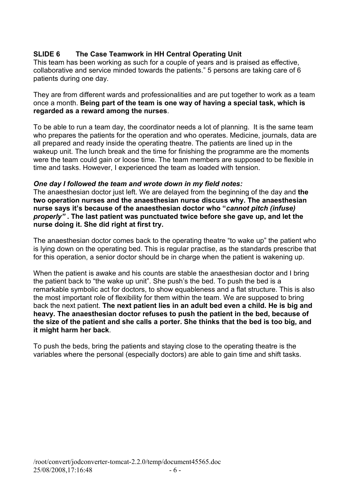# **SLIDE 6 The Case Teamwork in HH Central Operating Unit**

This team has been working as such for a couple of years and is praised as effective, collaborative and service minded towards the patients." 5 persons are taking care of 6 patients during one day.

They are from different wards and professionalities and are put together to work as a team once a month. **Being part of the team is one way of having a special task, which is regarded as a reward among the nurses**.

To be able to run a team day, the coordinator needs a lot of planning. It is the same team who prepares the patients for the operation and who operates. Medicine, journals, data are all prepared and ready inside the operating theatre. The patients are lined up in the wakeup unit. The lunch break and the time for finishing the programme are the moments were the team could gain or loose time. The team members are supposed to be flexible in time and tasks. However, I experienced the team as loaded with tension.

#### *One day I followed the team and wrote down in my field notes:*

The anaesthesian doctor just left. We are delayed from the beginning of the day and **the two operation nurses and the anaesthesian nurse discuss why. The anaesthesian nurse says it's because of the anaesthesian doctor who "***cannot pitch (infuse) properly"* **. The last patient was punctuated twice before she gave up, and let the nurse doing it. She did right at first try.**

The anaesthesian doctor comes back to the operating theatre "to wake up" the patient who is lying down on the operating bed. This is regular practise, as the standards prescribe that for this operation, a senior doctor should be in charge when the patient is wakening up.

When the patient is awake and his counts are stable the anaesthesian doctor and I bring the patient back to "the wake up unit". She push's the bed. To push the bed is a remarkable symbolic act for doctors, to show equableness and a flat structure. This is also the most important role of flexibility for them within the team. We are supposed to bring back the next patient. **The next patient lies in an adult bed even a child. He is big and heavy. The anaesthesian doctor refuses to push the patient in the bed, because of the size of the patient and she calls a porter. She thinks that the bed is too big, and it might harm her back**.

To push the beds, bring the patients and staying close to the operating theatre is the variables where the personal (especially doctors) are able to gain time and shift tasks.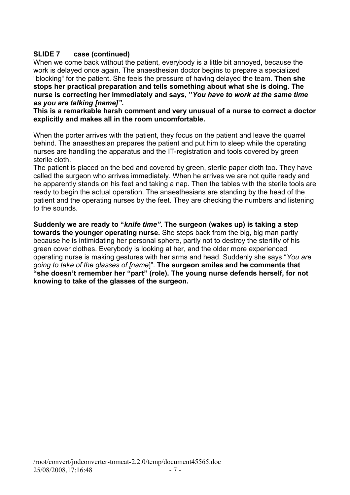# **SLIDE 7 case (continued)**

When we come back without the patient, everybody is a little bit annoyed, because the work is delayed once again. The anaesthesian doctor begins to prepare a specialized "blocking" for the patient. She feels the pressure of having delayed the team. **Then she stops her practical preparation and tells something about what she is doing. The nurse is correcting her immediately and says, "***You have to work at the same time as you are talking [name]".* 

**This is a remarkable harsh comment and very unusual of a nurse to correct a doctor explicitly and makes all in the room uncomfortable.** 

When the porter arrives with the patient, they focus on the patient and leave the quarrel behind. The anaesthesian prepares the patient and put him to sleep while the operating nurses are handling the apparatus and the IT-registration and tools covered by green sterile cloth.

The patient is placed on the bed and covered by green, sterile paper cloth too. They have called the surgeon who arrives immediately. When he arrives we are not quite ready and he apparently stands on his feet and taking a nap. Then the tables with the sterile tools are ready to begin the actual operation. The anaesthesians are standing by the head of the patient and the operating nurses by the feet. They are checking the numbers and listening to the sounds.

**Suddenly we are ready to "***knife time"***. The surgeon (wakes up) is taking a step towards the younger operating nurse.** She steps back from the big, big man partly because he is intimidating her personal sphere, partly not to destroy the sterility of his green cover clothes. Everybody is looking at her, and the older more experienced operating nurse is making gestures with her arms and head. Suddenly she says "*You are going to take of the glasses of [name*]". **The surgeon smiles and he comments that "she doesn't remember her "part" (role). The young nurse defends herself, for not knowing to take of the glasses of the surgeon.**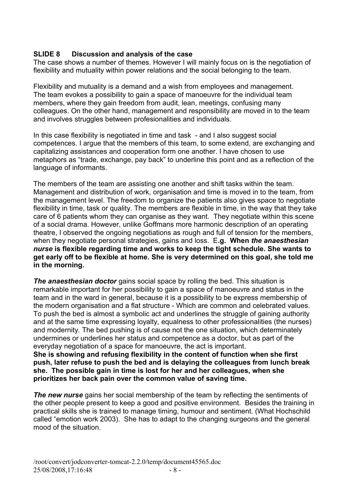#### **SLIDE 8 Discussion and analysis of the case**

The case shows a number of themes. However I will mainly focus on is the negotiation of flexibility and mutuality within power relations and the social belonging to the team.

Flexibility and mutuality is a demand and a wish from employees and management. The team evokes a possibility to gain a space of manoeuvre for the individual team members, where they gain freedom from audit, lean, meetings, confusing many colleagues. On the other hand, management and responsibility are moved in to the team and involves struggles between profesionalities and individuals.

In this case flexibility is negotiated in time and task - and I also suggest social competences. I argue that the members of this team, to some extend, are exchanging and capitalizing assistances and cooperation form one another. I have chosen to use metaphors as "trade, exchange, pay back" to underline this point and as a reflection of the language of informants.

The members of the team are assisting one another and shift tasks within the team. Management and distribution of work, organisation and time is moved in to the team, from the management level. The freedom to organize the patients also gives space to negotiate flexibility in time, task or quality. The members are flexible in time, in the way that they take care of 6 patients whom they can organise as they want. They negotiate within this scene of a social drama. However, unlike Goffmans more harmonic description of an operating theatre, I observed the ongoing negotiations as rough and full of tension for the members, when they negotiate personal strategies, gains and loss. E**.g. When** *the anaesthesian nurse* **is flexible regarding time and works to keep the tight schedule. She wants to get early off to be flexible at home. She is very determined on this goal, she told me in the morning.** 

**The anaesthesian doctor** gains social space by rolling the bed. This situation is remarkable important for her possibility to gain a space of manoeuvre and status in the team and in the ward in general, because it is a possibility to be express membership of the modern organisation and a flat structure - Which are common and celebrated values. To push the bed is almost a symbolic act and underlines the struggle of gaining authority and at the same time expressing loyalty, equalness to other professionalities (the nurses) and modernity. The bed pushing is of cause not the one situation, which determinately undermines or underlines her status and competence as a doctor, but as part of the everyday negotiation of a space for manoeuvre, the act is important.

**She is showing and refusing flexibility in the content of function when she first push, later refuse to push the bed and is delaying the colleagues from lunch break she. The possible gain in time is lost for her and her colleagues, when she prioritizes her back pain over the common value of saving time.**

**The new nurse** gains her social membership of the team by reflecting the sentiments of the other people present to keep a good and positive environment. Besides the training in practical skills she is trained to manage timing, humour and sentiment. (What Hochschild called "emotion work 2003). She has to adapt to the changing surgeons and the general mood of the situation.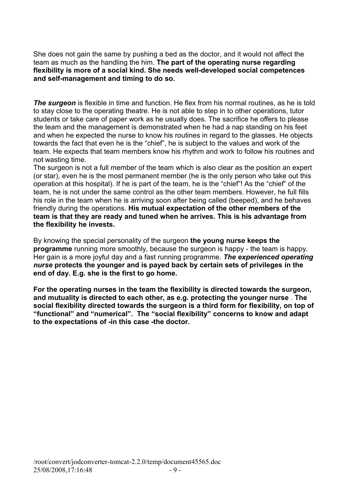She does not gain the same by pushing a bed as the doctor, and it would not affect the team as much as the handling the him. **The part of the operating nurse regarding flexibility is more of a social kind. She needs well-developed social competences and self-management and timing to do so.**

**The surgeon** is flexible in time and function. He flex from his normal routines, as he is told to stay close to the operating theatre. He is not able to step in to other operations, tutor students or take care of paper work as he usually does. The sacrifice he offers to please the team and the management is demonstrated when he had a nap standing on his feet and when he expected the nurse to know his routines in regard to the glasses. He objects towards the fact that even he is the "chief", he is subject to the values and work of the team. He expects that team members know his rhythm and work to follow his routines and not wasting time.

The surgeon is not a full member of the team which is also clear as the position an expert (or star), even he is the most permanent member (he is the only person who take out this operation at this hospital). If he is part of the team, he is the "chief"! As the "chief" of the team, he is not under the same control as the other team members. However, he full fills his role in the team when he is arriving soon after being called (beeped), and he behaves friendly during the operations. **His mutual expectation of the other members of the team is that they are ready and tuned when he arrives. This is his advantage from the flexibility he invests.** 

By knowing the special personality of the surgeon **the young nurse keeps the programme** running more smoothly, because the surgeon is happy - the team is happy. Her gain is a more joyful day and a fast running programme. *The experienced operating nurse* **protects the younger and is payed back by certain sets of privileges in the end of day. E.g. she is the first to go home.** 

**For the operating nurses in the team the flexibility is directed towards the surgeon, and mutuality is directed to each other, as e.g. protecting the younger nurse** . **The social flexibility directed towards the surgeon is a third form for flexibility, on top of "functional" and "numerical". The "social flexibility" concerns to know and adapt to the expectations of -in this case -the doctor.**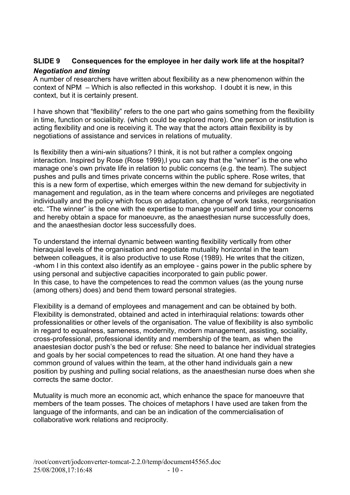# **SLIDE 9 Consequences for the employee in her daily work life at the hospital?** *Negotiation and timing*

A number of researchers have written about flexibility as a new phenomenon within the context of NPM – Which is also reflected in this workshop. I doubt it is new, in this context, but it is certainly present.

I have shown that "flexibility" refers to the one part who gains something from the flexibility in time, function or socialibity. (which could be explored more). One person or institution is acting flexibility and one is receiving it. The way that the actors attain flexibility is by negotiations of assistance and services in relations of mutuality.

Is flexibility then a wini-win situations? I think, it is not but rather a complex ongoing interaction. Inspired by Rose (Rose 1999), you can say that the "winner" is the one who manage one's own private life in relation to public concerns (e.g. the team). The subject pushes and pulls and times private concerns within the public sphere. Rose writes, that this is a new form of expertise, which emerges within the new demand for subjectivity in management and regulation, as in the team where concerns and privileges are negotiated individually and the policy which focus on adaptation, change of work tasks, reorgsnisation etc. "The winner" is the one with the expertise to manage yourself and time your concerns and hereby obtain a space for manoeuvre, as the anaesthesian nurse successfully does, and the anaesthesian doctor less successfully does.

To understand the internal dynamic between wanting flexibility vertically from other hieraquial levels of the organisation and negotiate mutuality horizontal in the team between colleagues, it is also productive to use Rose (1989). He writes that the citizen, -whom I in this context also identify as an employee - gains power in the public sphere by using personal and subjective capacities incorporated to gain public power. In this case, to have the competences to read the common values (as the young nurse (among others) does) and bend them toward personal strategies.

Flexibility is a demand of employees and management and can be obtained by both. Flexibility is demonstrated, obtained and acted in interhiraquial relations: towards other professionalities or other levels of the organisation. The value of flexibility is also symbolic in regard to equalness, sameness, modernity, modern management, assisting, sociality, cross-professional, professional identity and membership of the team, as when the anaestesian doctor push's the bed or refuse: She need to balance her individual strategies and goals by her social competences to read the situation. At one hand they have a common ground of values within the team, at the other hand individuals gain a new position by pushing and pulling social relations, as the anaesthesian nurse does when she corrects the same doctor.

Mutuality is much more an economic act, which enhance the space for manoeuvre that members of the team posses. The choices of metaphors I have used are taken from the language of the informants, and can be an indication of the commercialisation of collaborative work relations and reciprocity.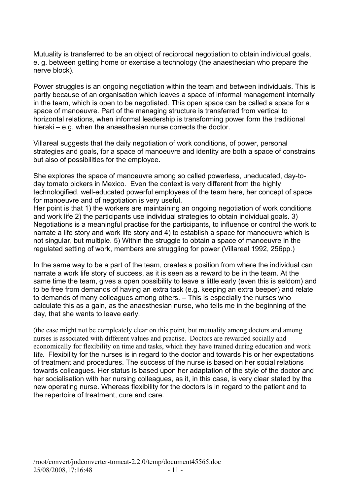Mutuality is transferred to be an object of reciprocal negotiation to obtain individual goals, e. g. between getting home or exercise a technology (the anaesthesian who prepare the nerve block).

Power struggles is an ongoing negotiation within the team and between individuals. This is partly because of an organisation which leaves a space of informal management internally in the team, which is open to be negotiated. This open space can be called a space for a space of manoeuvre. Part of the managing structure is transferred from vertical to horizontal relations, when informal leadership is transforming power form the traditional hieraki – e.g. when the anaesthesian nurse corrects the doctor.

Villareal suggests that the daily negotiation of work conditions, of power, personal strategies and goals, for a space of manoeuvre and identity are both a space of constrains but also of possibilities for the employee.

She explores the space of manoeuvre among so called powerless, uneducated, day-today tomato pickers in Mexico. Even the context is very different from the highly technologified, well-educated powerful employees of the team here, her concept of space for manoeuvre and of negotiation is very useful.

Her point is that 1) the workers are maintaining an ongoing negotiation of work conditions and work life 2) the participants use individual strategies to obtain individual goals. 3) Negotiations is a meaningful practise for the participants, to influence or control the work to narrate a life story and work life story and 4) to establish a space for manoeuvre which is not singular, but multiple. 5) Within the struggle to obtain a space of manoeuvre in the regulated setting of work, members are struggling for power (Villareal 1992, 256pp.)

In the same way to be a part of the team, creates a position from where the individual can narrate a work life story of success, as it is seen as a reward to be in the team. At the same time the team, gives a open possibility to leave a little early (even this is seldom) and to be free from demands of having an extra task (e.g. keeping an extra beeper) and relate to demands of many colleagues among others. – This is especially the nurses who calculate this as a gain, as the anaesthesian nurse, who tells me in the beginning of the day, that she wants to leave early.

(the case might not be compleately clear on this point, but mutuality among doctors and among nurses is associated with different values and practise. Doctors are rewarded socially and economically for flexibility on time and tasks, which they have trained during education and work life. Flexibility for the nurses is in regard to the doctor and towards his or her expectations of treatment and procedures. The success of the nurse is based on her social relations towards colleagues. Her status is based upon her adaptation of the style of the doctor and her socialisation with her nursing colleagues, as it, in this case, is very clear stated by the new operating nurse. Whereas flexibility for the doctors is in regard to the patient and to the repertoire of treatment, cure and care.